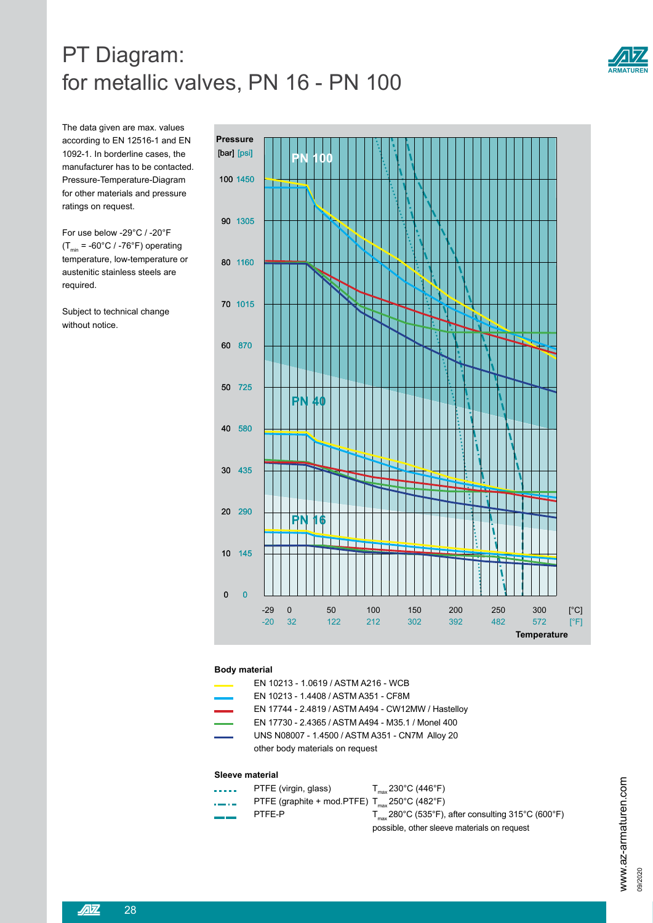# PT Diagram: for metallic valves, PN 16 - PN 100



The data given are max. values according to EN 12516-1 and EN 1092-1. In borderline cases, the manufacturer has to be contacted. Pressure-Temperature-Diagram for other materials and pressure ratings on request.

For use below -29°C / -20°F  $(T_{min} = -60^{\circ}C / -76^{\circ}F)$  operating temperature, low-temperature or austenitic stainless steels are required.

Subject to technical change without notice.



### **Body material**

- EN 10213 1.0619 / ASTM A216 WCB
- EN 10213 1.4408 / ASTM A351 CF8M
- EN 17744 2.4819 / ASTM A494 CW12MW / Hastelloy
- EN 17730 2.4365 / ASTM A494 M35.1 / Monel 400
- UNS N08007 1.4500 / ASTM A351 CN7M Alloy 20 other body materials on request

#### **Sleeve material**

- **PTFE** (virgin, glass)  $T_{\text{max}} 230^{\circ} \text{C} (446^{\circ} \text{F})$
- $\frac{1}{\sqrt{1-\frac{1}{\sqrt{1-\frac{1}{\sqrt{1-\frac{1}{\sqrt{1-\frac{1}{\sqrt{1-\frac{1}{\sqrt{1-\frac{1}{\sqrt{1-\frac{1}{\sqrt{1-\frac{1}{\sqrt{1-\frac{1}{\sqrt{1-\frac{1}{\sqrt{1-\frac{1}{\sqrt{1-\frac{1}{\sqrt{1-\frac{1}{\sqrt{1-\frac{1}{\sqrt{1-\frac{1}{\sqrt{1-\frac{1}{\sqrt{1-\frac{1}{\sqrt{1-\frac{1}{\sqrt{1-\frac{1}{\sqrt{1-\frac{1}{\sqrt{1-\frac{1}{\sqrt{1-\frac{1}{\sqrt{1-\frac{1}{\sqrt{1-\frac{1$
- 
- PTFE-P  $T_{\text{max}}$ 280°C (535°F), after consulting 315°C (600°F) possible, other sleeve materials on request

www.az-armaturen.com<br><sup>09/2020</sup>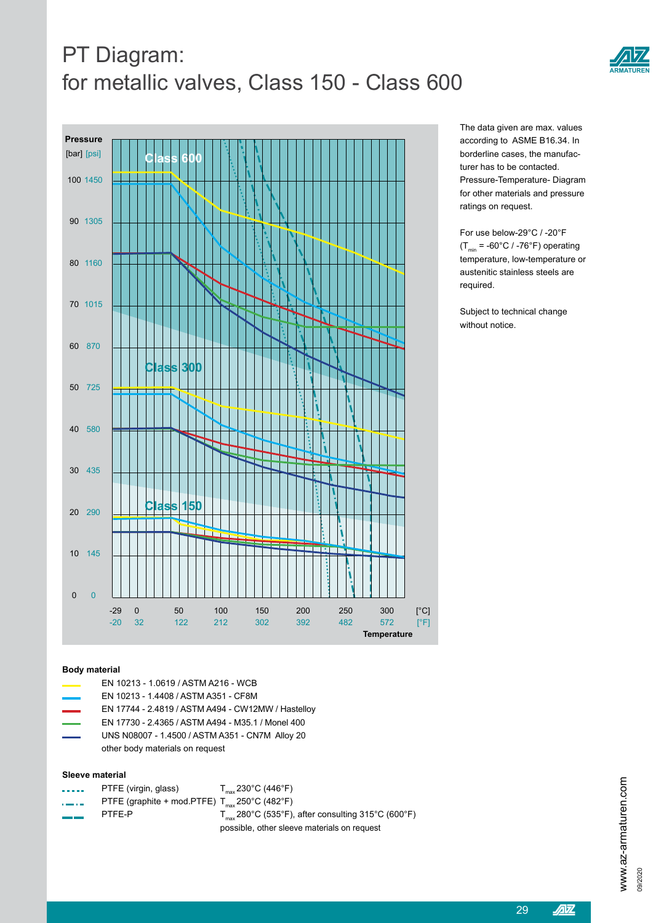# PT Diagram: for metallic valves, Class 150 - Class 600



The data given are max. values according to ASME B16.34. In borderline cases, the manufacturer has to be contacted. Pressure-Temperature- Diagram for other materials and pressure ratings on request.

For use below-29°C / -20°F  $(T<sub>min</sub> = -60°C / -76°F)$  operating temperature, low-temperature or austenitic stainless steels are required.

Subject to technical change without notice.

### **Body material**

- EN 10213 1.0619 / ASTM A216 WCB
- EN 10213 1.4408 / ASTM A351 CF8M
- EN 17744 2.4819 / ASTM A494 CW12MW / Hastelloy
- EN 17730 2.4365 / ASTM A494 M35.1 / Monel 400
- UNS N08007 1.4500 / ASTM A351 CN7M Alloy 20 other body materials on request

### **Sleeve material**

- PTFE (virgin, glass)  $T_{\text{max}} 230^{\circ} \text{C} (446^{\circ} \text{F})$
- $\frac{1}{100}$  PTFE (graphite + mod.PTFE)  $T_{\text{max}}$  250°C (482°F)
- 

PTFE-P  $T_{\text{max}}$  280°C (535°F), after consulting 315°C (600°F) possible, other sleeve materials on request

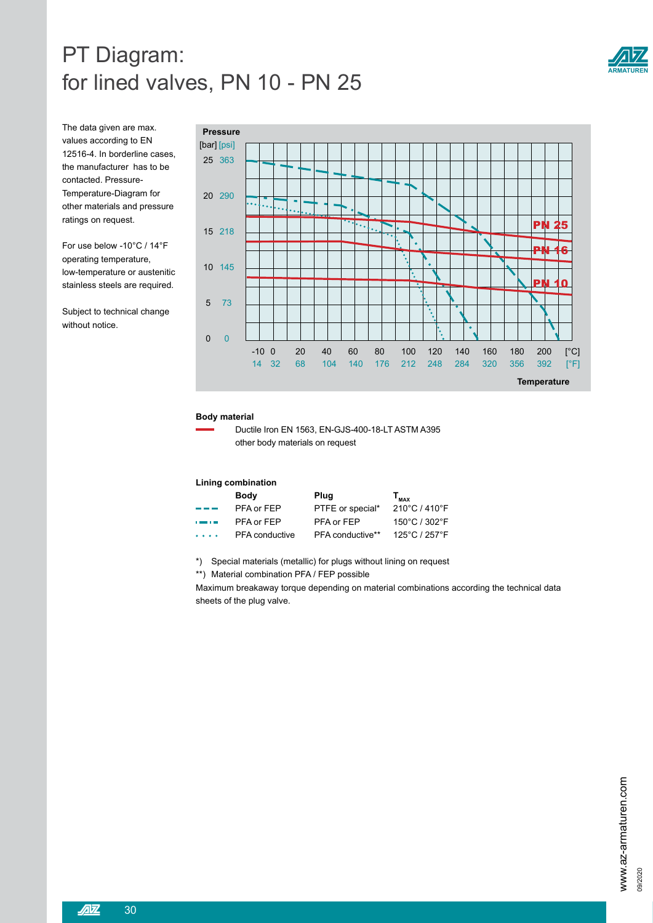# PT Diagram: for lined valves, PN 10 - PN 25



The data given are max. values according to EN 12516-4. In borderline cases, the manufacturer has to be contacted. Pressure-Temperature-Diagram for other materials and pressure ratings on request.

For use below -10°C / 14°F operating temperature, low-temperature or austenitic stainless steels are required.

Subject to technical change without notice.



#### **Body material**

 Ductile Iron EN 1563, EN-GJS-400-18-LT ASTM A395 other body materials on request

### **Lining combination**

|                                                                                                                 | Body                  | Plug             | $T_{MAX}$     |
|-----------------------------------------------------------------------------------------------------------------|-----------------------|------------------|---------------|
| --                                                                                                              | PFA or FEP            | PTFE or special* | 210°C / 410°F |
| <b>Commercial</b>                                                                                               | PFA or FEP            | PFA or FEP       | 150°C / 302°F |
| $\begin{array}{cccccccccccccc} \bullet & \bullet & \bullet & \bullet & \bullet & \bullet & \bullet \end{array}$ | <b>PFA</b> conductive | PFA conductive** | 125°C / 257°F |

\*) Special materials (metallic) for plugs without lining on request

\*\*) Material combination PFA / FEP possible

Maximum breakaway torque depending on material combinations according the technical data sheets of the plug valve.